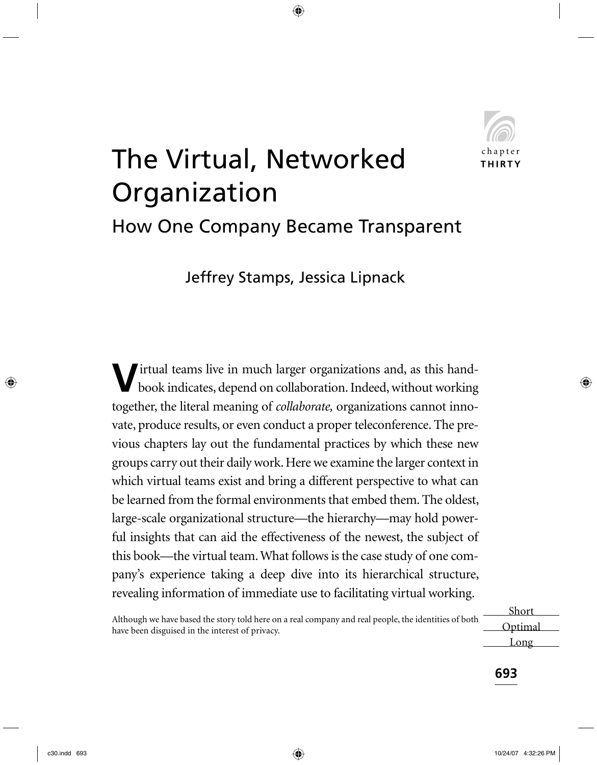

# The Virtual, Networked **Organization**

# How One Company Became Transparent

 $\bigoplus$ 

Jeffrey Stamps, Jessica Lipnack

I irtual teams live in much larger organizations and, as this handbook indicates, depend on collaboration. Indeed, without working together, the literal meaning of *collaborate,* organizations cannot innovate, produce results, or even conduct a proper teleconference. The previous chapters lay out the fundamental practices by which these new groups carry out their dailywork.Herewe examine the larger context in which virtual teams exist and bring a different perspective to what can be learned from the formal environments that embed them. The oldest, large-scale organizational structure—the hierarchy—may hold powerful insights that can aid the effectiveness of the newest, the subject of this book—the virtual team.What follows is the case study of one company's experience taking a deep dive into its hierarchical structure, revealing information of immediate use to facilitating virtual working.

Although we have based the story told here on a real company and real people, the identities of both have been disguised in the interest of privacy.



↔

**693**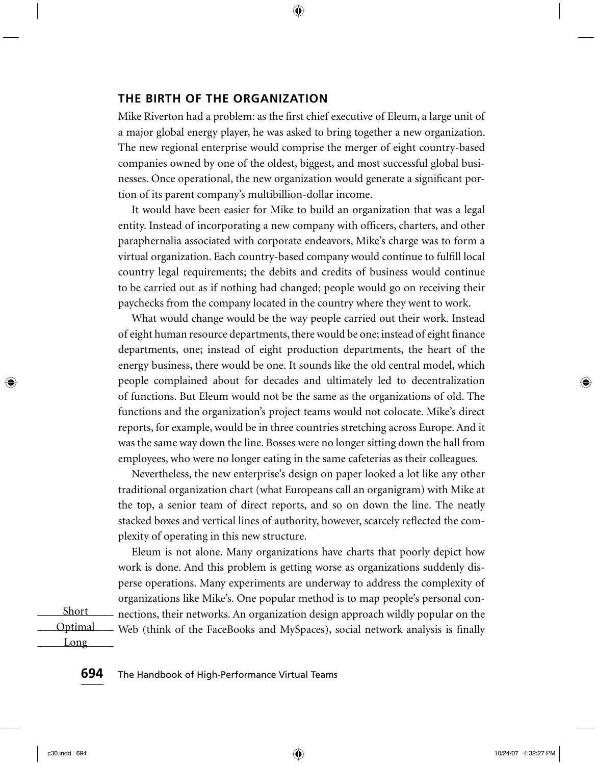## **THE BIRTH OF THE ORGANIZATION**

Mike Riverton had a problem: as the first chief executive of Eleum, a large unit of a major global energy player, he was asked to bring together a new organization. The new regional enterprise would comprise the merger of eight country-based companies owned by one of the oldest, biggest, and most successful global businesses. Once operational, the new organization would generate a significant portion of its parent company 's multibillion - dollar income.

 $\bigoplus$ 

It would have been easier for Mike to build an organization that was a legal entity. Instead of incorporating a new company with officers, charters, and other paraphernalia associated with corporate endeavors, Mike's charge was to form a virtual organization. Each country - based company would continue to fulfill local country legal requirements; the debits and credits of business would continue to be carried out as if nothing had changed; people would go on receiving their paychecks from the company located in the country where they went to work.

What would change would be the way people carried out their work. Instead of eight human resource departments, there would be one; instead of eight finance departments, one; instead of eight production departments, the heart of the energy business, there would be one. It sounds like the old central model, which people complained about for decades and ultimately led to decentralization of functions. But Eleum would not be the same as the organizations of old. The functions and the organization's project teams would not colocate. Mike's direct reports, for example, would be in three countries stretching across Europe. And it was the same way down the line. Bosses were no longer sitting down the hall from employees, who were no longer eating in the same cafeterias as their colleagues.

Nevertheless, the new enterprise's design on paper looked a lot like any other traditional organization chart (what Europeans call an organigram) with Mike at the top, a senior team of direct reports, and so on down the line. The neatly stacked boxes and vertical lines of authority, however, scarcely reflected the complexity of operating in this new structure.

Eleum is not alone. Many organizations have charts that poorly depict how work is done. And this problem is getting worse as organizations suddenly disperse operations. Many experiments are underway to address the complexity of organizations like Mike's. One popular method is to map people's personal connections, their networks. An organization design approach wildly popular on the Web (think of the FaceBooks and MySpaces), social network analysis is finally

**694** The Handbook of High-Performance Virtual Teams

Short Optimal Long

↔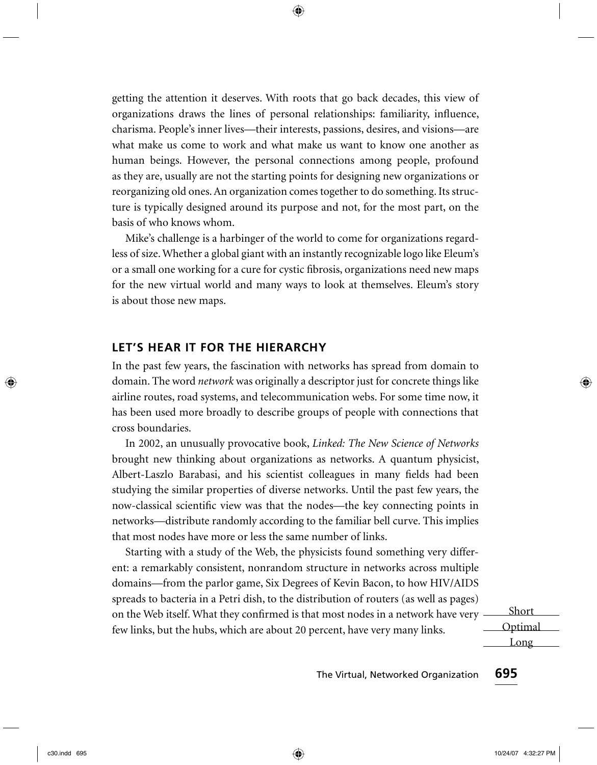⊕

getting the attention it deserves. With roots that go back decades, this view of organizations draws the lines of personal relationships: familiarity, influence, charisma. People's inner lives — their interests, passions, desires, and visions — are what make us come to work and what make us want to know one another as human beings. However, the personal connections among people, profound as they are, usually are not the starting points for designing new organizations or reorganizing old ones.An organization comes together to do something.Its structure is typically designed around its purpose and not, for the most part, on the basis of who knows whom.

Mike's challenge is a harbinger of the world to come for organizations regardless of size.Whether a global giant with an instantly recognizable logo like Eleum's or a small one working for a cure for cystic fibrosis, organizations need new maps for the new virtual world and many ways to look at themselves. Eleum's story is about those new maps.

#### **LET'S HEAR IT FOR THE HIERARCHY**

In the past few years, the fascination with networks has spread from domain to domain. The word *network* was originally a descriptor just for concrete things like airline routes, road systems, and telecommunication webs. For some time now, it has been used more broadly to describe groups of people with connections that cross boundaries.

In 2002, an unusually provocative book, *Linked: The New Science of Networks* brought new thinking about organizations as networks. A quantum physicist, Albert- Laszlo Barabasi, and his scientist colleagues in many fields had been studying the similar properties of diverse networks. Until the past few years, the now-classical scientific view was that the nodes—the key connecting points in networks — distribute randomly according to the familiar bell curve. This implies that most nodes have more or less the same number of links.

Starting with a study of the Web, the physicists found something very different: a remarkably consistent, nonrandom structure in networks across multiple domains — from the parlor game, Six Degrees of Kevin Bacon, to how HIV/AIDS spreads to bacteria in a Petri dish, to the distribution of routers (as well as pages) on the Web itself. What they confirmed is that most nodes in a network have very few links, but the hubs, which are about 20 percent, have very many links.

↔

The Virtual, Networked Organization **695**

↔

c30.indd 695 30.indd 10/24/07 4:32:27 PM 0/24/07

Short Optimal Long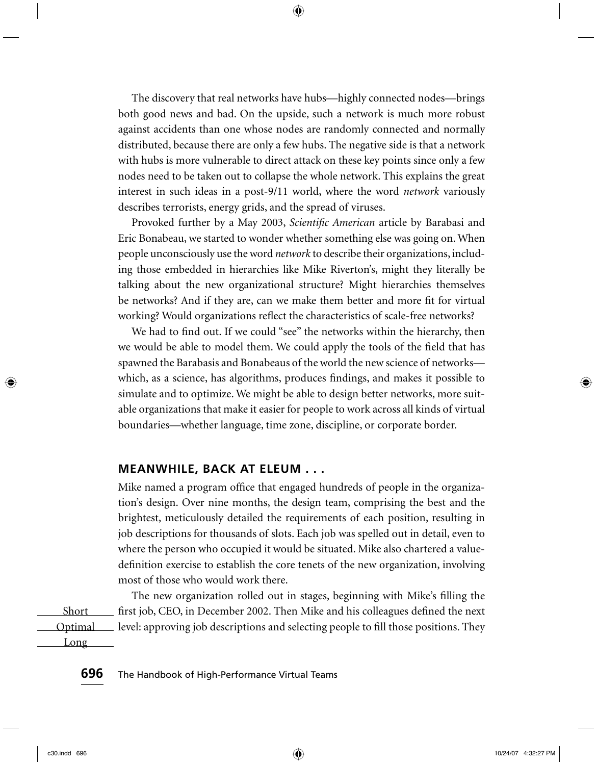$\bigoplus$ 

The discovery that real networks have hubs—highly connected nodes—brings both good news and bad. On the upside, such a network is much more robust against accidents than one whose nodes are randomly connected and normally distributed, because there are only a few hubs. The negative side is that a network with hubs is more vulnerable to direct attack on these key points since only a few nodes need to be taken out to collapse the whole network. This explains the great interest in such ideas in a post-9/11 world, where the word *network* variously describes terrorists, energy grids, and the spread of viruses.

Provoked further by a May 2003, *Scientific American* article by Barabasi and Eric Bonabeau, we started to wonder whether something else was going on. When people unconsciously use the word *network* to describe their organizations, including those embedded in hierarchies like Mike Riverton's, might they literally be talking about the new organizational structure? Might hierarchies themselves be networks? And if they are, can we make them better and more fit for virtual working? Would organizations reflect the characteristics of scale-free networks?

We had to find out. If we could "see" the networks within the hierarchy, then we would be able to model them. We could apply the tools of the field that has spawned the Barabasis and Bonabeaus of the world the new science of networkswhich, as a science, has algorithms, produces findings, and makes it possible to simulate and to optimize. We might be able to design better networks, more suitable organizations that make it easier for people to work across all kinds of virtual boundaries — whether language, time zone, discipline, or corporate border.

#### **MEANWHILE, BACK AT ELEUM . . .**

Mike named a program office that engaged hundreds of people in the organization's design. Over nine months, the design team, comprising the best and the brightest, meticulously detailed the requirements of each position, resulting in job descriptions for thousands of slots. Each job was spelled out in detail, even to where the person who occupied it would be situated. Mike also chartered a valuedefinition exercise to establish the core tenets of the new organization, involving most of those who would work there.

Short Optimal Long The new organization rolled out in stages, beginning with Mike's filling the first job, CEO, in December 2002. Then Mike and his colleagues defined the next level: approving job descriptions and selecting people to fill those positions. They

**696** The Handbook of High-Performance Virtual Teams

↔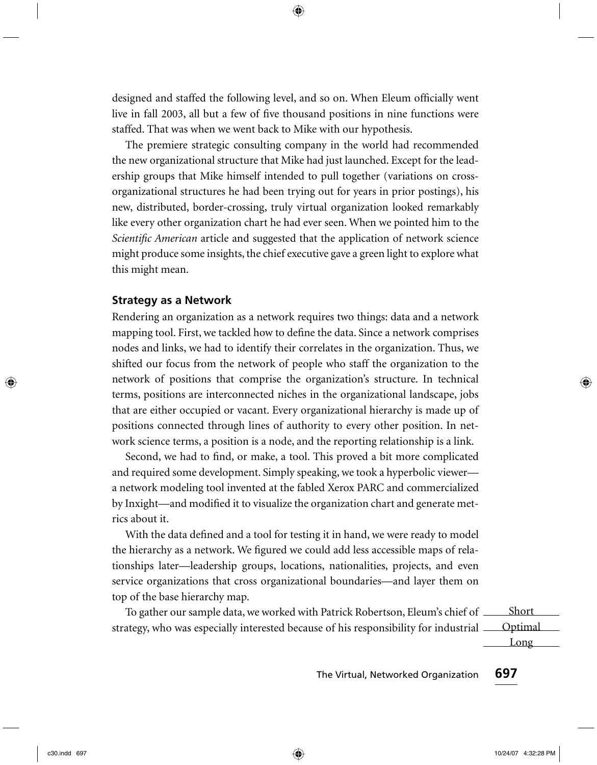designed and staffed the following level, and so on. When Eleum officially went live in fall 2003, all but a few of five thousand positions in nine functions were staffed. That was when we went back to Mike with our hypothesis.

⊕

The premiere strategic consulting company in the world had recommended the new organizational structure that Mike had just launched. Except for the leadership groups that Mike himself intended to pull together (variations on crossorganizational structures he had been trying out for years in prior postings), his new, distributed, border-crossing, truly virtual organization looked remarkably like every other organization chart he had ever seen. When we pointed him to the *Scientific American* article and suggested that the application of network science might produce some insights, the chief executive gave a green light to explore what this might mean.

#### **Strategy as a Network**

Rendering an organization as a network requires two things: data and a network mapping tool. First, we tackled how to define the data. Since a network comprises nodes and links, we had to identify their correlates in the organization. Thus, we shifted our focus from the network of people who staff the organization to the network of positions that comprise the organization's structure. In technical terms, positions are interconnected niches in the organizational landscape, jobs that are either occupied or vacant. Every organizational hierarchy is made up of positions connected through lines of authority to every other position. In network science terms, a position is a node, and the reporting relationship is a link.

Second, we had to find, or make, a tool. This proved a bit more complicated and required some development. Simply speaking, we took a hyperbolic viewer a network modeling tool invented at the fabled Xerox PARC and commercialized by Inxight — and modified it to visualize the organization chart and generate metrics about it.

With the data defined and a tool for testing it in hand, we were ready to model the hierarchy as a network. We figured we could add less accessible maps of relationships later — leadership groups, locations, nationalities, projects, and even service organizations that cross organizational boundaries—and layer them on top of the base hierarchy map.

Short Optimal Long To gather our sample data, we worked with Patrick Robertson, Eleum's chief of strategy, who was especially interested because of his responsibility for industrial

The Virtual, Networked Organization **697**

↔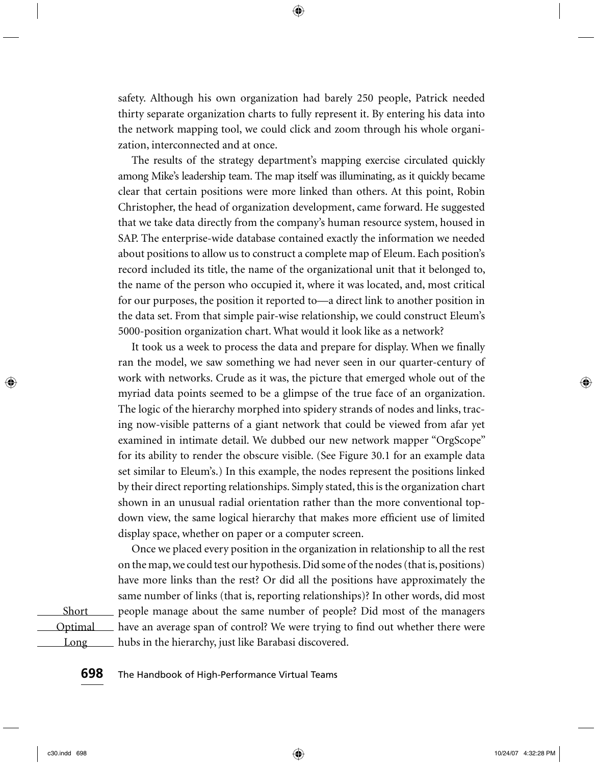safety. Although his own organization had barely 250 people, Patrick needed thirty separate organization charts to fully represent it. By entering his data into the network mapping tool, we could click and zoom through his whole organization, interconnected and at once.

 $\bigoplus$ 

The results of the strategy department's mapping exercise circulated quickly among Mike's leadership team. The map itself was illuminating, as it quickly became clear that certain positions were more linked than others. At this point, Robin Christopher, the head of organization development, came forward. He suggested that we take data directly from the company 's human resource system, housed in SAP. The enterprise-wide database contained exactly the information we needed about positions to allow us to construct a complete map of Eleum. Each position's record included its title, the name of the organizational unit that it belonged to, the name of the person who occupied it, where it was located, and, most critical for our purposes, the position it reported to— a direct link to another position in the data set. From that simple pair- wise relationship, we could construct Eleum's 5000 - position organization chart. What would it look like as a network?

It took us a week to process the data and prepare for display. When we finally ran the model, we saw something we had never seen in our quarter- century of work with networks. Crude as it was, the picture that emerged whole out of the myriad data points seemed to be a glimpse of the true face of an organization. The logic of the hierarchy morphed into spidery strands of nodes and links, tracing now - visible patterns of a giant network that could be viewed from afar yet examined in intimate detail. We dubbed our new network mapper "OrgScope" for its ability to render the obscure visible. (See Figure 30.1 for an example data set similar to Eleum's.) In this example, the nodes represent the positions linked by their direct reporting relationships. Simply stated, this is the organization chart shown in an unusual radial orientation rather than the more conventional topdown view, the same logical hierarchy that makes more efficient use of limited display space, whether on paper or a computer screen.

Once we placed every position in the organization in relationship to all the rest on the map,we could test our hypothesis.Did some of the nodes (that is,positions) have more links than the rest? Or did all the positions have approximately the same number of links (that is, reporting relationships)? In other words, did most people manage about the same number of people? Did most of the managers have an average span of control? We were trying to find out whether there were hubs in the hierarchy, just like Barabasi discovered.

**698** The Handbook of High-Performance Virtual Teams

Short Optimal Long

↔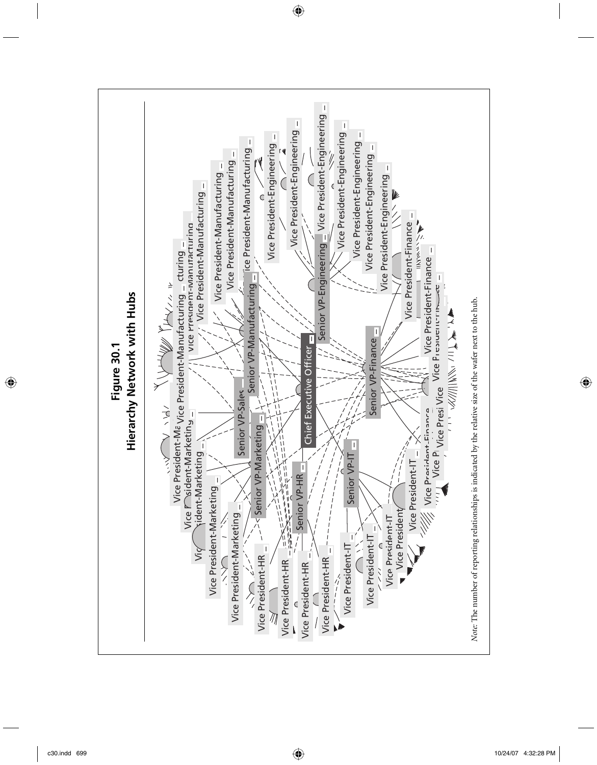

 $\bigoplus$ 

 $\bigoplus$ 

 $\bigoplus$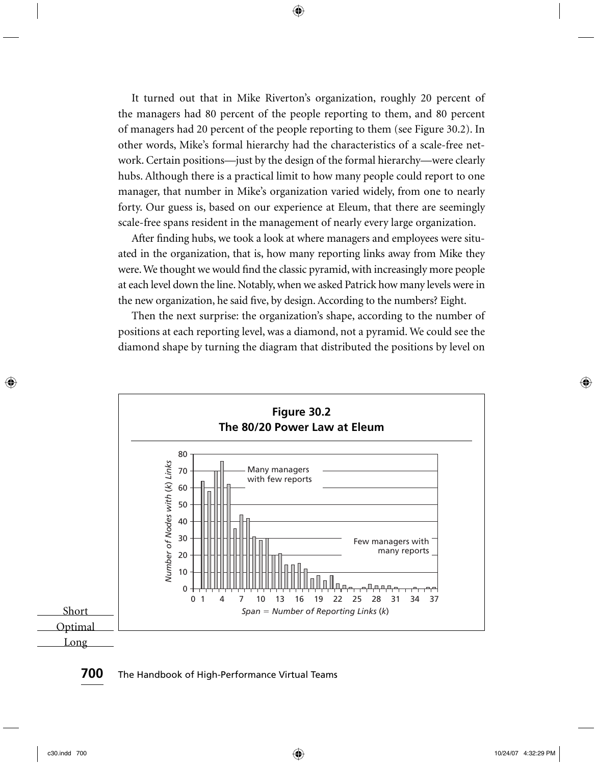$\bigoplus$ 

It turned out that in Mike Riverton's organization, roughly 20 percent of the managers had 80 percent of the people reporting to them, and 80 percent of managers had 20 percent of the people reporting to them (see Figure 30.2 ). In other words, Mike's formal hierarchy had the characteristics of a scale - free network. Certain positions—just by the design of the formal hierarchy—were clearly hubs. Although there is a practical limit to how many people could report to one manager, that number in Mike's organization varied widely, from one to nearly forty. Our guess is, based on our experience at Eleum, that there are seemingly scale-free spans resident in the management of nearly every large organization.

After finding hubs, we took a look at where managers and employees were situated in the organization, that is, how many reporting links away from Mike they were. We thought we would find the classic pyramid, with increasingly more people at each level down the line. Notably,when we asked Patrick how many levels were in the new organization, he said five, by design. According to the numbers? Eight.

Then the next surprise: the organization's shape, according to the number of positions at each reporting level, was a diamond, not a pyramid. We could see the diamond shape by turning the diagram that distributed the positions by level on





↔

⊕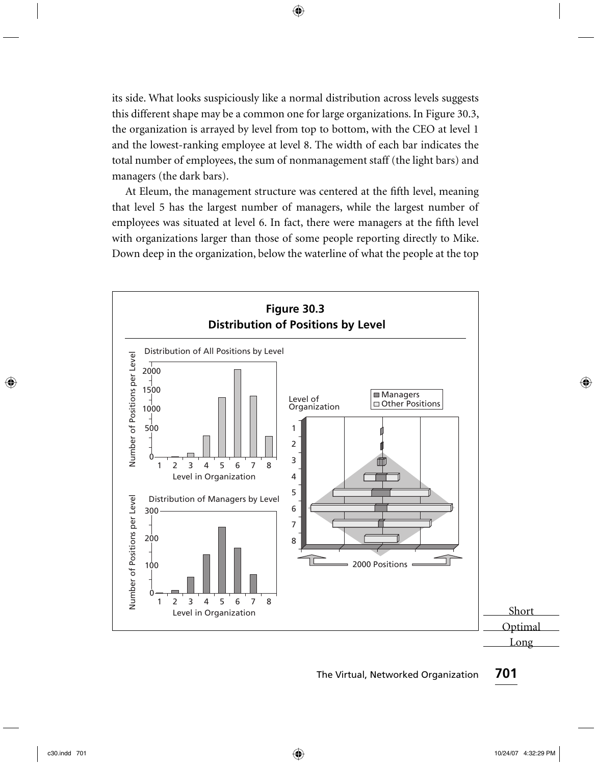its side. What looks suspiciously like a normal distribution across levels suggests this different shape may be a common one for large organizations. In Figure 30.3 , the organization is arrayed by level from top to bottom, with the CEO at level 1 and the lowest-ranking employee at level 8. The width of each bar indicates the total number of employees, the sum of nonmanagement staff (the light bars) and managers (the dark bars).

 $\bigoplus$ 

At Eleum, the management structure was centered at the fifth level, meaning that level 5 has the largest number of managers, while the largest number of employees was situated at level 6. In fact, there were managers at the fifth level with organizations larger than those of some people reporting directly to Mike. Down deep in the organization, below the waterline of what the people at the top



The Virtual, Networked Organization **701**

⊕

⊕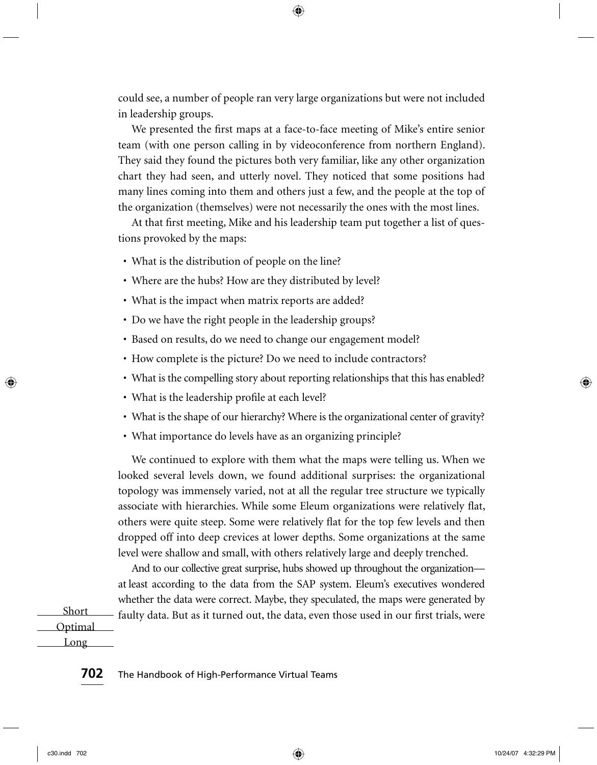could see, a number of people ran very large organizations but were not included in leadership groups.

 $\bigoplus$ 

We presented the first maps at a face-to-face meeting of Mike's entire senior team (with one person calling in by videoconference from northern England). They said they found the pictures both very familiar, like any other organization chart they had seen, and utterly novel. They noticed that some positions had many lines coming into them and others just a few, and the people at the top of the organization (themselves) were not necessarily the ones with the most lines.

At that first meeting, Mike and his leadership team put together a list of questions provoked by the maps:

- What is the distribution of people on the line? •
- Where are the hubs? How are they distributed by level?
- What is the impact when matrix reports are added? •
- Do we have the right people in the leadership groups? •
- Based on results, do we need to change our engagement model?
- How complete is the picture? Do we need to include contractors?
- What is the compelling story about reporting relationships that this has enabled?
- What is the leadership profile at each level? •
- What is the shape of our hierarchy? Where is the organizational center of gravity?
- What importance do levels have as an organizing principle? •

We continued to explore with them what the maps were telling us. When we looked several levels down, we found additional surprises: the organizational topology was immensely varied, not at all the regular tree structure we typically associate with hierarchies. While some Eleum organizations were relatively flat, others were quite steep. Some were relatively flat for the top few levels and then dropped off into deep crevices at lower depths. Some organizations at the same level were shallow and small, with others relatively large and deeply trenched.

And to our collective great surprise, hubs showed up throughout the organization at least according to the data from the SAP system. Eleum's executives wondered whether the data were correct. Maybe, they speculated, the maps were generated by faulty data. But as it turned out, the data, even those used in our first trials, were

Short Optimal Long

↔

### **702** The Handbook of High-Performance Virtual Teams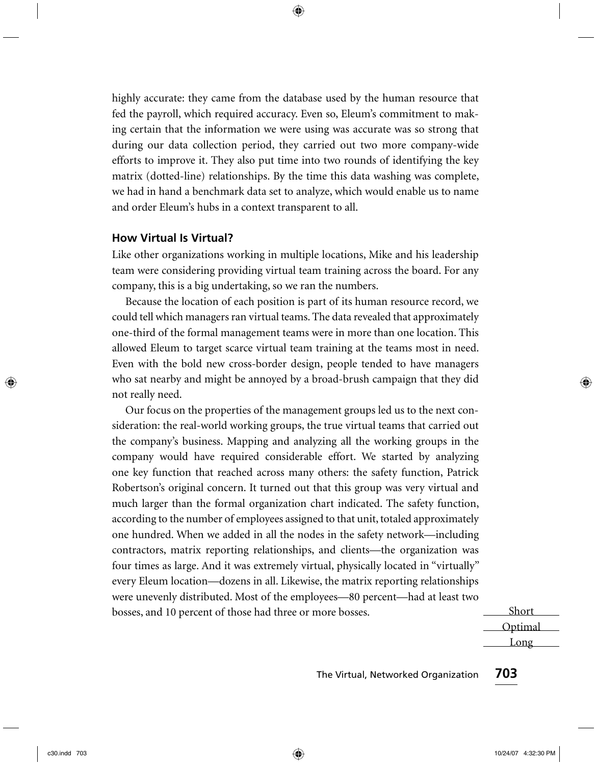⊕

highly accurate: they came from the database used by the human resource that fed the payroll, which required accuracy. Even so, Eleum's commitment to making certain that the information we were using was accurate was so strong that during our data collection period, they carried out two more company-wide efforts to improve it. They also put time into two rounds of identifying the key matrix (dotted-line) relationships. By the time this data washing was complete, we had in hand a benchmark data set to analyze, which would enable us to name and order Eleum's hubs in a context transparent to all.

#### **How Virtual Is Virtual?**

Like other organizations working in multiple locations, Mike and his leadership team were considering providing virtual team training across the board. For any company, this is a big undertaking, so we ran the numbers.

Because the location of each position is part of its human resource record, we could tell which managers ran virtual teams. The data revealed that approximately one - third of the formal management teams were in more than one location. This allowed Eleum to target scarce virtual team training at the teams most in need. Even with the bold new cross-border design, people tended to have managers who sat nearby and might be annoyed by a broad-brush campaign that they did not really need.

Our focus on the properties of the management groups led us to the next consideration: the real-world working groups, the true virtual teams that carried out the company's business. Mapping and analyzing all the working groups in the company would have required considerable effort. We started by analyzing one key function that reached across many others: the safety function, Patrick Robertson's original concern. It turned out that this group was very virtual and much larger than the formal organization chart indicated. The safety function, according to the number of employees assigned to that unit, totaled approximately one hundred. When we added in all the nodes in the safety network—including contractors, matrix reporting relationships, and clients—the organization was four times as large. And it was extremely virtual, physically located in "virtually" every Eleum location—dozens in all. Likewise, the matrix reporting relationships were unevenly distributed. Most of the employees—80 percent—had at least two bosses, and 10 percent of those had three or more bosses.

| Short   |  |
|---------|--|
| Optimal |  |
| Long    |  |
|         |  |

↔

The Virtual, Networked Organization **703**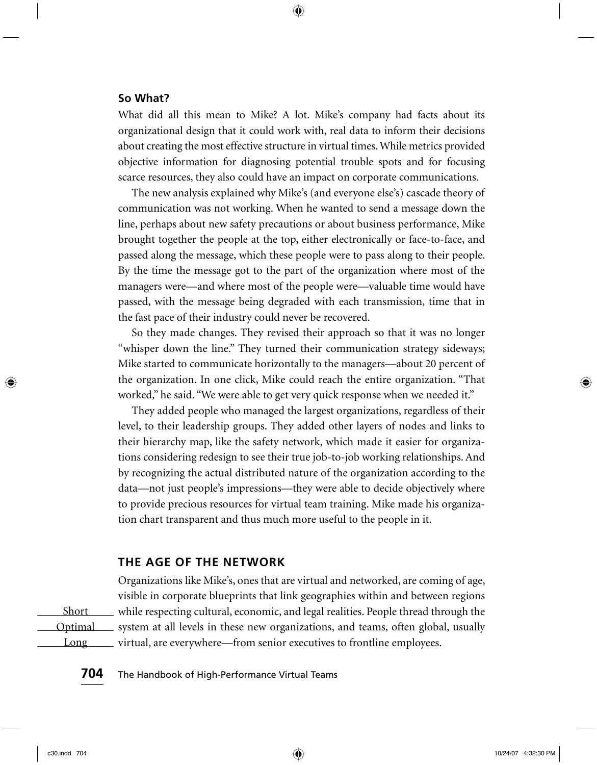# **So What?**

What did all this mean to Mike? A lot. Mike's company had facts about its organizational design that it could work with, real data to inform their decisions about creating the most effective structure in virtual times.While metrics provided objective information for diagnosing potential trouble spots and for focusing scarce resources, they also could have an impact on corporate communications.

⊕

The new analysis explained why Mike's (and everyone else's) cascade theory of communication was not working. When he wanted to send a message down the line, perhaps about new safety precautions or about business performance, Mike brought together the people at the top, either electronically or face-to-face, and passed along the message, which these people were to pass along to their people. By the time the message got to the part of the organization where most of the managers were— and where most of the people were— valuable time would have passed, with the message being degraded with each transmission, time that in the fast pace of their industry could never be recovered.

So they made changes. They revised their approach so that it was no longer "whisper down the line." They turned their communication strategy sideways; Mike started to communicate horizontally to the managers — about 20 percent of the organization. In one click, Mike could reach the entire organization. "That worked," he said. "We were able to get very quick response when we needed it."

They added people who managed the largest organizations, regardless of their level, to their leadership groups. They added other layers of nodes and links to their hierarchy map, like the safety network, which made it easier for organizations considering redesign to see their true job - to- job working relationships.And by recognizing the actual distributed nature of the organization according to the data — not just people's impressions — they were able to decide objectively where to provide precious resources for virtual team training. Mike made his organization chart transparent and thus much more useful to the people in it.

#### **THE AGE OF THE NETWORK**

Organizations like Mike's, ones that are virtual and networked, are coming of age, visible in corporate blueprints that link geographies within and between regions while respecting cultural, economic, and legal realities. People thread through the system at all levels in these new organizations, and teams, often global, usually virtual, are everywhere— from senior executives to frontline employees.

**704** The Handbook of High-Performance Virtual Teams

Short Optimal Long

↔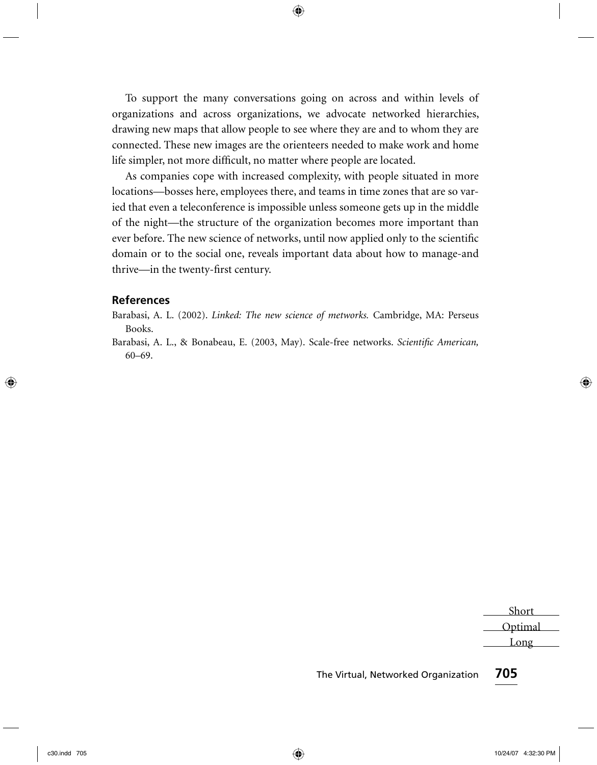To support the many conversations going on across and within levels of organizations and across organizations, we advocate networked hierarchies, drawing new maps that allow people to see where they are and to whom they are connected. These new images are the orienteers needed to make work and home life simpler, not more difficult, no matter where people are located.

 $\bigoplus$ 

As companies cope with increased complexity, with people situated in more locations—bosses here, employees there, and teams in time zones that are so varied that even a teleconference is impossible unless someone gets up in the middle of the night — the structure of the organization becomes more important than ever before. The new science of networks, until now applied only to the scientific domain or to the social one, reveals important data about how to manage-and thrive — in the twenty- first century.

#### **References**

Barabasi, A. L. (2002). *Linked: The new science of metworks.* Cambridge, MA: Perseus Books.

Barabasi, A. L., & Bonabeau, E. (2003, May). Scale - free networks. *Scientific American,*  $60 - 69.$ 

| Short   |  |
|---------|--|
| Optimal |  |
| Long    |  |
|         |  |

↔

The Virtual, Networked Organization **705**